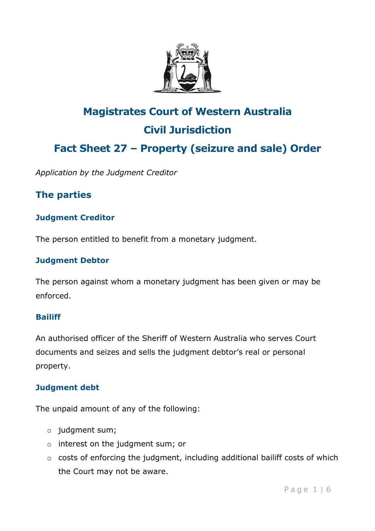

# **Magistrates Court of Western Australia Civil Jurisdiction Fact Sheet 27 – Property (seizure and sale) Order**

*Application by the Judgment Creditor*

## **The parties**

### **Judgment Creditor**

The person entitled to benefit from a monetary judgment.

#### **Judgment Debtor**

The person against whom a monetary judgment has been given or may be enforced.

#### **Bailiff**

An authorised officer of the Sheriff of Western Australia who serves Court documents and seizes and sells the judgment debtor's real or personal property.

#### **Judgment debt**

The unpaid amount of any of the following:

- o judgment sum;
- o interest on the judgment sum; or
- o costs of enforcing the judgment, including additional bailiff costs of which the Court may not be aware.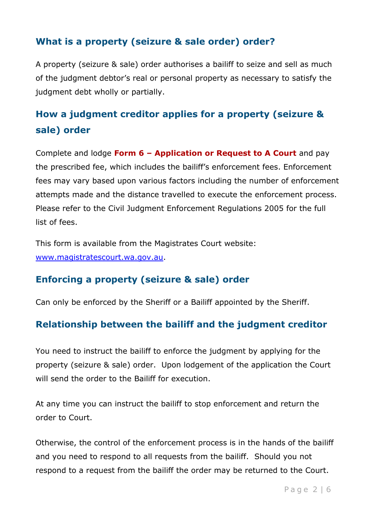## **What is a property (seizure & sale order) order?**

A property (seizure & sale) order authorises a bailiff to seize and sell as much of the judgment debtor's real or personal property as necessary to satisfy the judgment debt wholly or partially.

## **How a judgment creditor applies for a property (seizure & sale) order**

Complete and lodge **Form 6 – Application or Request to A Court** and pay the prescribed fee, which includes the bailiff's enforcement fees. Enforcement fees may vary based upon various factors including the number of enforcement attempts made and the distance travelled to execute the enforcement process. Please refer to the Civil Judgment Enforcement Regulations 2005 for the full list of fees.

This form is available from the Magistrates Court website: [www.magistratescourt.wa.gov.au.](http://www.magistratescourt.wa.gov.au/)

## **Enforcing a property (seizure & sale) order**

Can only be enforced by the Sheriff or a Bailiff appointed by the Sheriff.

### **Relationship between the bailiff and the judgment creditor**

You need to instruct the bailiff to enforce the judgment by applying for the property (seizure & sale) order. Upon lodgement of the application the Court will send the order to the Bailiff for execution.

At any time you can instruct the bailiff to stop enforcement and return the order to Court.

Otherwise, the control of the enforcement process is in the hands of the bailiff and you need to respond to all requests from the bailiff. Should you not respond to a request from the bailiff the order may be returned to the Court.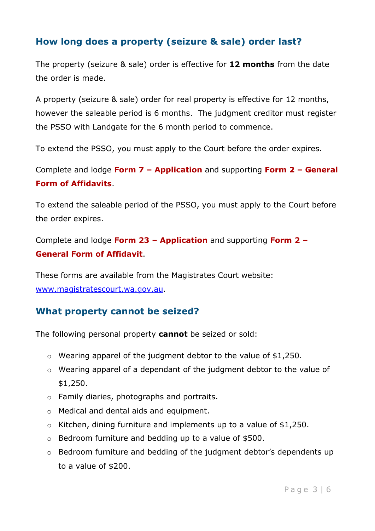## **How long does a property (seizure & sale) order last?**

The property (seizure & sale) order is effective for **12 months** from the date the order is made.

A property (seizure & sale) order for real property is effective for 12 months, however the saleable period is 6 months. The judgment creditor must register the PSSO with Landgate for the 6 month period to commence.

To extend the PSSO, you must apply to the Court before the order expires.

Complete and lodge **Form 7 – Application** and supporting **Form 2 – General Form of Affidavits**.

To extend the saleable period of the PSSO, you must apply to the Court before the order expires.

Complete and lodge **Form 23 – Application** and supporting **Form 2 – General Form of Affidavit**.

These forms are available from the Magistrates Court website: [www.magistratescourt.wa.gov.au.](http://www.magistratescourt.wa.gov.au/)

### **What property cannot be seized?**

The following personal property **cannot** be seized or sold:

- o Wearing apparel of the judgment debtor to the value of \$1,250.
- o Wearing apparel of a dependant of the judgment debtor to the value of \$1,250.
- o Family diaries, photographs and portraits.
- o Medical and dental aids and equipment.
- $\circ$  Kitchen, dining furniture and implements up to a value of \$1,250.
- o Bedroom furniture and bedding up to a value of \$500.
- o Bedroom furniture and bedding of the judgment debtor's dependents up to a value of \$200.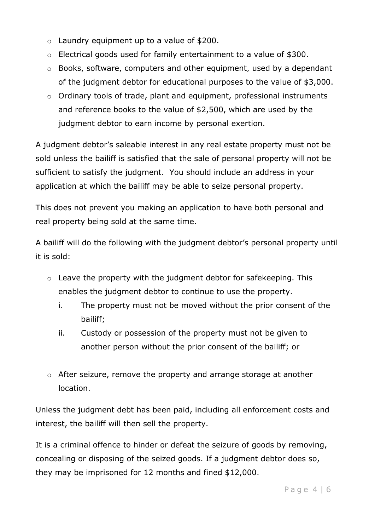- $\circ$  Laundry equipment up to a value of \$200.
- o Electrical goods used for family entertainment to a value of \$300.
- o Books, software, computers and other equipment, used by a dependant of the judgment debtor for educational purposes to the value of \$3,000.
- o Ordinary tools of trade, plant and equipment, professional instruments and reference books to the value of \$2,500, which are used by the judgment debtor to earn income by personal exertion.

A judgment debtor's saleable interest in any real estate property must not be sold unless the bailiff is satisfied that the sale of personal property will not be sufficient to satisfy the judgment. You should include an address in your application at which the bailiff may be able to seize personal property.

This does not prevent you making an application to have both personal and real property being sold at the same time.

A bailiff will do the following with the judgment debtor's personal property until it is sold:

- $\circ$  Leave the property with the judgment debtor for safekeeping. This enables the judgment debtor to continue to use the property.
	- i. The property must not be moved without the prior consent of the bailiff;
	- ii. Custody or possession of the property must not be given to another person without the prior consent of the bailiff; or
- o After seizure, remove the property and arrange storage at another location.

Unless the judgment debt has been paid, including all enforcement costs and interest, the bailiff will then sell the property.

It is a criminal offence to hinder or defeat the seizure of goods by removing, concealing or disposing of the seized goods. If a judgment debtor does so, they may be imprisoned for 12 months and fined \$12,000.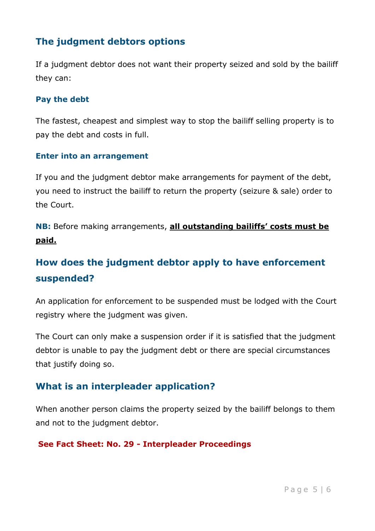## **The judgment debtors options**

If a judgment debtor does not want their property seized and sold by the bailiff they can:

#### **Pay the debt**

The fastest, cheapest and simplest way to stop the bailiff selling property is to pay the debt and costs in full.

#### **Enter into an arrangement**

If you and the judgment debtor make arrangements for payment of the debt, you need to instruct the bailiff to return the property (seizure & sale) order to the Court.

**NB:** Before making arrangements, **all outstanding bailiffs' costs must be paid.**

## **How does the judgment debtor apply to have enforcement suspended?**

An application for enforcement to be suspended must be lodged with the Court registry where the judgment was given.

The Court can only make a suspension order if it is satisfied that the judgment debtor is unable to pay the judgment debt or there are special circumstances that justify doing so.

## **What is an interpleader application?**

When another person claims the property seized by the bailiff belongs to them and not to the judgment debtor.

#### **See Fact Sheet: No. 29 - Interpleader Proceedings**